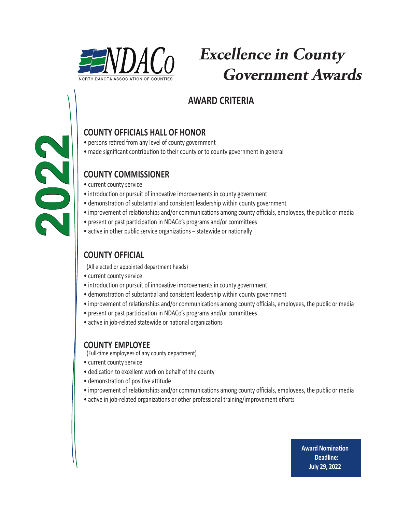

# **Excellence in County Government Awards**

## **AWARD CRITERIA**

### **COUNTY OFFICIALS HALL OF HONOR**

- persons retired from any level of county government
- made significant contribution to their county or to county government in general

### **COUNTY COMMISSIONER**

• current county service

**2022**

- introduction or pursuit of innovative improvements in county government
- • demonstration of substantial and consistent leadership within county government
- improvement of relationships and/or communications among county officials, employees, the public or media
- present or past participation in NDACo's programs and/or committees
- active in other public service organizations statewide or nationally

### **COUNTY OFFICIAL**

(All elected or appointed department heads)

- current county service
- introduction or pursuit of innovative improvements in county government
- • demonstration of substantial and consistent leadership within county government
- improvement of relationships and/or communications among county officials, employees, the public or media
- present or past participation in NDACo's programs and/or committees
- active in job-related statewide or national organizations

#### **COUNTY EMPLOYEE**

(Full-time employees of any county department)

- current county service
- dedication to excellent work on behalf of the county
- demonstration of positive attitude
- improvement of relationships and/or communications among county officials, employees, the public or media
- active in job-related organizations or other professional training/improvement efforts

**Award Nomination Deadline: July 29, 2022**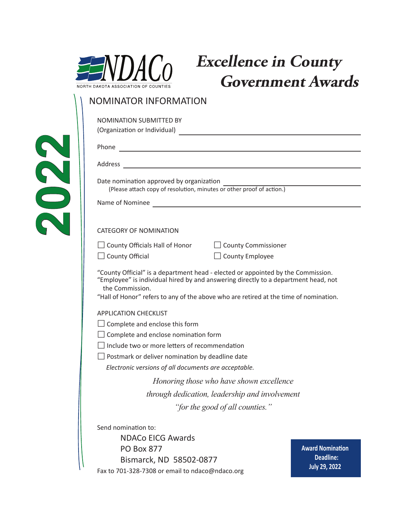

**2022**

## **Excellence in County Government Awards**

#### NOMINATOR INFORMATION

| <b>NOMINATION SUBMITTED BY</b>                                                                                                                                                                                                 |                                      |
|--------------------------------------------------------------------------------------------------------------------------------------------------------------------------------------------------------------------------------|--------------------------------------|
| (Organization or Individual) [1994] [1994] [1994] [1994] [1994] [1994] [1994] [1994] [1994] [1994] [1994] [1994] [1994] [1994] [1994] [1994] [1994] [1994] [1994] [1994] [1994] [1994] [1994] [1994] [1994] [1994] [1994] [199 |                                      |
|                                                                                                                                                                                                                                |                                      |
|                                                                                                                                                                                                                                |                                      |
| Date nomination approved by organization<br>(Please attach copy of resolution, minutes or other proof of action.)                                                                                                              |                                      |
|                                                                                                                                                                                                                                |                                      |
| <b>CATEGORY OF NOMINATION</b>                                                                                                                                                                                                  |                                      |
| $\Box$ County Officials Hall of Honor $\Box$ County Commissioner                                                                                                                                                               |                                      |
| $\Box$ County Employee<br>$\Box$ County Official                                                                                                                                                                               |                                      |
| the Commission.<br>"Hall of Honor" refers to any of the above who are retired at the time of nomination.<br><b>APPLICATION CHECKLIST</b>                                                                                       |                                      |
| $\Box$ Complete and enclose this form                                                                                                                                                                                          |                                      |
| $\Box$ Complete and enclose nomination form                                                                                                                                                                                    |                                      |
| $\Box$ Include two or more letters of recommendation                                                                                                                                                                           |                                      |
| Postmark or deliver nomination by deadline date                                                                                                                                                                                |                                      |
| Electronic versions of all documents are acceptable.                                                                                                                                                                           |                                      |
| Honoring those who have shown excellence                                                                                                                                                                                       |                                      |
| through dedication, leadership and involvement                                                                                                                                                                                 |                                      |
| "for the good of all counties.                                                                                                                                                                                                 |                                      |
| Send nomination to:                                                                                                                                                                                                            |                                      |
| <b>NDACo EICG Awards</b>                                                                                                                                                                                                       |                                      |
| <b>PO Box 877</b>                                                                                                                                                                                                              | <b>Award Nomination</b><br>Deadline: |
| Bismarck, ND 58502-0877                                                                                                                                                                                                        | <b>July 29, 2022</b>                 |
| Fax to 701-328-7308 or email to ndaco@ndaco.org                                                                                                                                                                                |                                      |